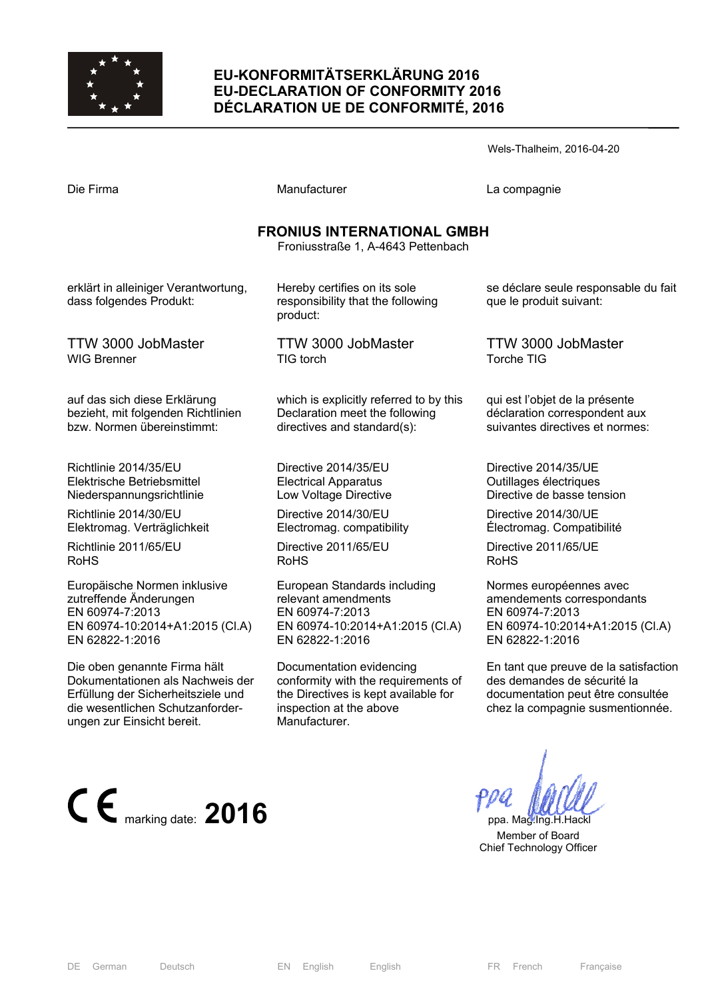

# **EU-KONFORMITÄTSERKLÄRUNG 2016 EU-DECLARATION OF CONFORMITY 2016 DÉCLARATION UE DE CONFORMITÉ, 2016**

Electromag. compatibility Directive 2011/65/EU

relevant amendments EN 60974-7:2013

EN 62822-1:2016

Manufacturer.

European Standards including

Documentation evidencing

inspection at the above

EN 60974-10:2014+A1:2015 (Cl.A)

conformity with the requirements of the Directives is kept available for

RoHS

|                                                                                                  |                                                                                                          | Wels-Thalheim, 2016-04-20                                                                          |  |  |
|--------------------------------------------------------------------------------------------------|----------------------------------------------------------------------------------------------------------|----------------------------------------------------------------------------------------------------|--|--|
| Die Firma                                                                                        | Manufacturer                                                                                             | La compagnie                                                                                       |  |  |
| <b>FRONIUS INTERNATIONAL GMBH</b><br>Froniusstraße 1, A-4643 Pettenbach                          |                                                                                                          |                                                                                                    |  |  |
| erklärt in alleiniger Verantwortung,<br>dass folgendes Produkt:                                  | Hereby certifies on its sole<br>responsibility that the following<br>product:                            | se déclare seule responsable du fait<br>que le produit suivant:                                    |  |  |
| TTW 3000 JobMaster<br>WIG Brenner                                                                | TTW 3000 JobMaster<br>TIG torch                                                                          | <b>TTW 3000 JobMaster</b><br><b>Torche TIG</b>                                                     |  |  |
| auf das sich diese Erklärung<br>bezieht, mit folgenden Richtlinien<br>bzw. Normen übereinstimmt: | which is explicitly referred to by this<br>Declaration meet the following<br>directives and standard(s): | qui est l'objet de la présente<br>déclaration correspondent aux<br>suivantes directives et normes: |  |  |
| Richtlinie 2014/35/EU<br>Elektrische Betriebsmittel<br>Niederspannungsrichtlinie                 | Directive 2014/35/EU<br><b>Electrical Apparatus</b><br>Low Voltage Directive                             | Directive 2014/35/UE<br>Outillages électriques<br>Directive de basse tension                       |  |  |
| Richtlinie 2014/30/EU                                                                            | Directive 2014/30/EU                                                                                     | Directive 2014/30/UE                                                                               |  |  |

Directive 2014/30/UE Électromag. Compatibilité

Directive 2011/65/UE RoHS

Normes européennes avec amendements correspondants EN 60974-7:2013 EN 60974-10:2014+A1:2015 (Cl.A) EN 62822-1:2016

En tant que preuve de la satisfaction des demandes de sécurité la documentation peut être consultée chez la compagnie susmentionnée.

 Member of Board Chief Technology Officer

Richtlinie 2014/30/EU Elektromag. Verträglichkeit

Richtlinie 2011/65/EU RoHS

Europäische Normen inklusive zutreffende Änderungen EN 60974-7:2013 EN 60974-10:2014+A1:2015 (Cl.A) EN 62822-1:2016

Die oben genannte Firma hält Dokumentationen als Nachweis der Erfüllung der Sicherheitsziele und die wesentlichen Schutzanforderungen zur Einsicht bereit.



DE German Deutsch EN English English FR French Française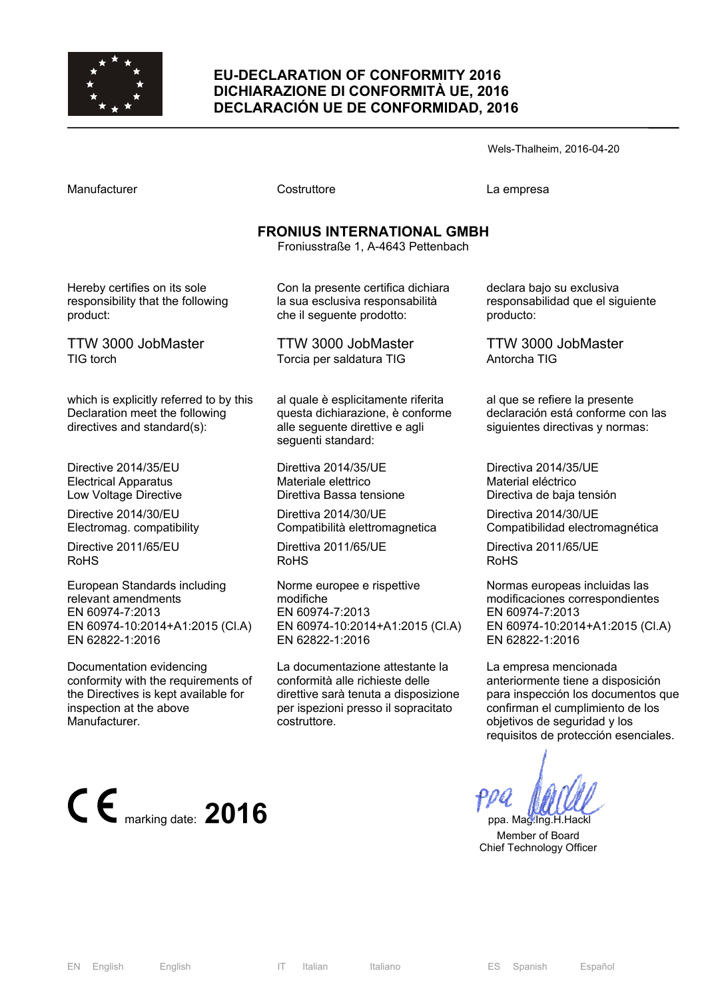

### **EU-DECLARATION OF CONFORMITY 2016 DICHIARAZIONE DI CONFORMITÀ UE, 2016 DECLARACIÓN UE DE CONFORMIDAD, 2016**

Wels-Thalheim, 2016-04-20

Costruttore **Costruttore** La empresa

# **FRONIUS INTERNATIONAL GMBH**

Froniusstraße 1, A-4643 Pettenbach

Hereby certifies on its sole responsibility that the following product:

TTW 3000 JobMaster TIG torch

which is explicitly referred to by this Declaration meet the following directives and standard(s):

Directive 2014/35/EU Electrical Apparatus Low Voltage Directive

Directive 2014/30/EU Electromag. compatibility

Directive 2011/65/EU RoHS

European Standards including relevant amendments EN 60974-7:2013 EN 60974-10:2014+A1:2015 (Cl.A) EN 62822-1:2016

Documentation evidencing conformity with the requirements of the Directives is kept available for inspection at the above Manufacturer.



Con la presente certifica dichiara la sua esclusiva responsabilità che il seguente prodotto:

TTW 3000 JobMaster Torcia per saldatura TIG

al quale è esplicitamente riferita questa dichiarazione, è conforme alle seguente direttive e agli seguenti standard:

Direttiva 2014/35/UE Materiale elettrico Direttiva Bassa tensione

Direttiva 2014/30/UE Compatibilità elettromagnetica

Direttiva 2011/65/UE RoHS

Norme europee e rispettive modifiche EN 60974-7:2013 EN 60974-10:2014+A1:2015 (Cl.A) EN 62822-1:2016

La documentazione attestante la conformità alle richieste delle direttive sarà tenuta a disposizione per ispezioni presso il sopracitato costruttore.

declara bajo su exclusiva responsabilidad que el siguiente producto:

TTW 3000 JobMaster Antorcha TIG

al que se refiere la presente declaración está conforme con las siguientes directivas y normas:

Directiva 2014/35/UE Material eléctrico Directiva de baja tensión

Directiva 2014/30/UE Compatibilidad electromagnética

Directiva 2011/65/UE RoHS

Normas europeas incluidas las modificaciones correspondientes EN 60974-7:2013 EN 60974-10:2014+A1:2015 (Cl.A) EN 62822-1:2016

La empresa mencionada anteriormente tiene a disposición para inspección los documentos que confirman el cumplimiento de los objetivos de seguridad y los requisitos de protección esenciales.

 Member of Board Chief Technology Officer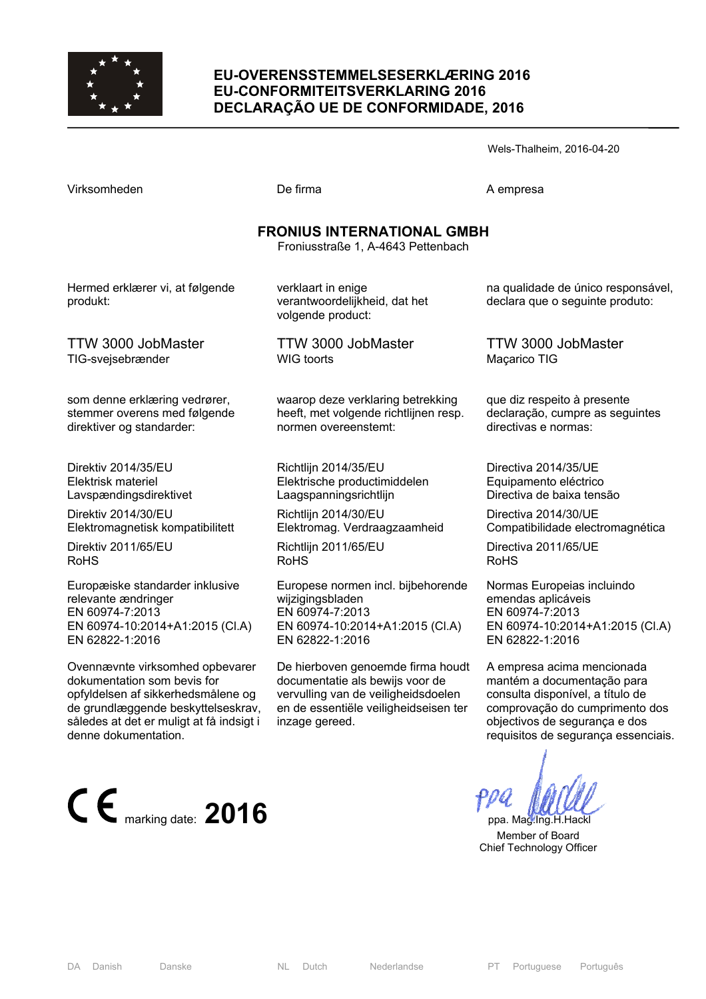

### **EU-OVERENSSTEMMELSESERKLÆRING 2016 EU-CONFORMITEITSVERKLARING 2016 DECLARAÇÃO UE DE CONFORMIDADE, 2016**

Wels-Thalheim, 2016-04-20

| <b>FRONIUS INTERNATIONAL GMBH</b><br>Froniusstraße 1, A-4643 Pettenbach |                                                                          |                                                                       |  |  |
|-------------------------------------------------------------------------|--------------------------------------------------------------------------|-----------------------------------------------------------------------|--|--|
| Hermed erklærer vi, at følgende<br>produkt:                             | verklaart in enige<br>verantwoordelijkheid, dat het<br>volgende product: | na qualidade de único responsável,<br>declara que o seguinte produto: |  |  |
| TTW 3000 JobMaster                                                      | TTW 3000 JobMaster                                                       | TTW 3000 JobMaster                                                    |  |  |
| TIG-svejsebrænder                                                       | <b>WIG toorts</b>                                                        | Maçarico TIG                                                          |  |  |
| som denne erklæring vedrører,                                           | waarop deze verklaring betrekking                                        | que diz respeito à presente                                           |  |  |
| stemmer overens med følgende                                            | heeft, met volgende richtlijnen resp.                                    | declaração, cumpre as seguintes                                       |  |  |
| direktiver og standarder:                                               | normen overeenstemt:                                                     | directivas e normas:                                                  |  |  |
| Direktiv 2014/35/EU                                                     | Richtlijn 2014/35/EU                                                     | Directiva 2014/35/UE                                                  |  |  |
| Elektrisk materiel                                                      | Elektrische productimiddelen                                             | Equipamento eléctrico                                                 |  |  |
| Lavspændingsdirektivet                                                  | Laagspanningsrichtlijn                                                   | Directiva de baixa tensão                                             |  |  |
| Direktiv 2014/30/EU                                                     | Richtlijn 2014/30/EU                                                     | Directiva 2014/30/UE                                                  |  |  |
| Elektromagnetisk kompatibilitett                                        | Elektromag. Verdraagzaamheid                                             | Compatibilidade electromagnética                                      |  |  |
| Direktiv 2011/65/EU                                                     | Richtlijn 2011/65/EU                                                     | Directiva 2011/65/UE                                                  |  |  |
| <b>RoHS</b>                                                             | <b>RoHS</b>                                                              | <b>RoHS</b>                                                           |  |  |
| Europæiske standarder inklusive                                         | Europese normen incl. bijbehorende                                       | Normas Europeias incluindo                                            |  |  |
| relevante ændringer                                                     | wijzigingsbladen                                                         | emendas aplicáveis                                                    |  |  |
| EN 60974-7:2013                                                         | EN 60974-7:2013                                                          | EN 60974-7:2013                                                       |  |  |
| EN 60974-10:2014+A1:2015 (CI.A)                                         | EN 60974-10:2014+A1:2015 (Cl.A)                                          | EN 60974-10:2014+A1:2015 (CI.A)                                       |  |  |
| EN 62822-1:2016                                                         | EN 62822-1:2016                                                          | EN 62822-1:2016                                                       |  |  |
| Ovennævnte virksomhed opbevarer                                         | De hierboven genoemde firma houdt                                        | A empresa acima mencionada                                            |  |  |
| dokumentation som bevis for                                             | documentatie als bewijs voor de                                          | mantém a documentação para                                            |  |  |
| opfyldelsen af sikkerhedsmålene og                                      | vervulling van de veiligheidsdoelen                                      | consulta disponível, a título de                                      |  |  |

en de essentiële veiligheidseisen ter

inzage gereed.

comprovação do cumprimento dos objectivos de segurança e dos requisitos de segurança essenciais.

 $\epsilon$  marking date: **2016 ppa.** Mag.Ing.H.Hackl

 Member of Board Chief Technology Officer

de grundlæggende beskyttelseskrav, således at det er muligt at få indsigt i

denne dokumentation.

Virksomheden De firma De firma A empresa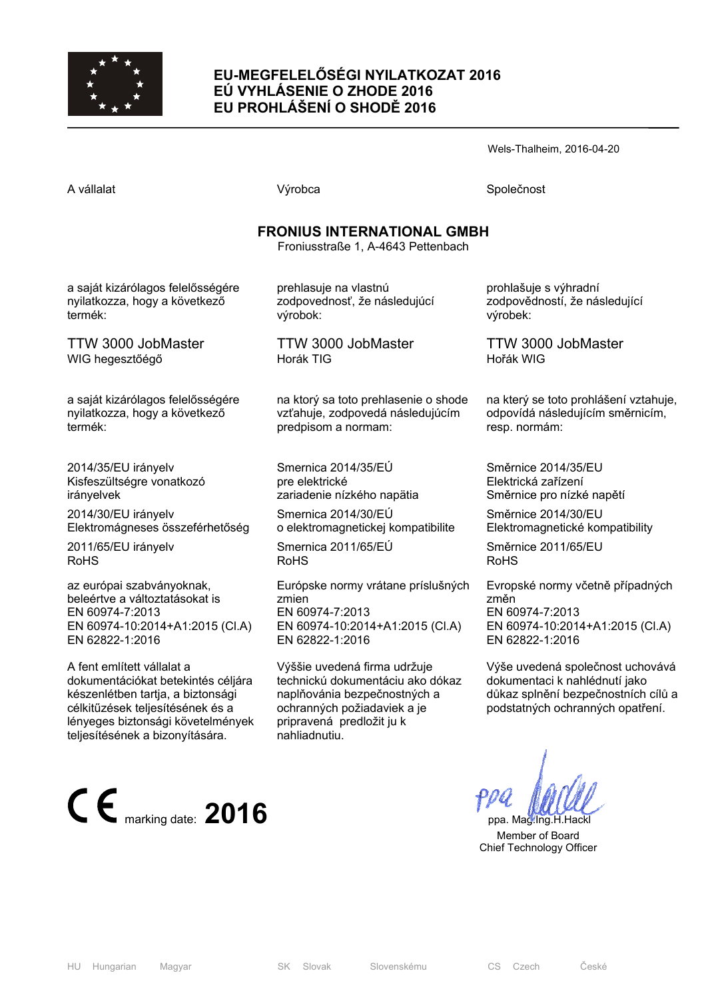

# **EU-MEGFELELŐSÉGI NYILATKOZAT 2016 EÚ VYHLÁSENIE O ZHODE 2016 EU PROHLÁŠENÍ O SHODĚ 2016**

Wels-Thalheim, 2016-04-20

A vállalat Společnost Národová výrobca Na vállalat Společnost Společnost Společnost Společnost Společnost Společnost

### **FRONIUS INTERNATIONAL GMBH**

Froniusstraße 1, A-4643 Pettenbach

a saját kizárólagos felelősségére nyilatkozza, hogy a következő termék:

TTW 3000 JobMaster WIG hegesztőégő

a saját kizárólagos felelősségére nyilatkozza, hogy a következő termék:

2014/35/EU irányelv Kisfeszültségre vonatkozó irányelvek

2014/30/EU irányelv Elektromágneses összeférhetőség

2011/65/EU irányelv RoHS

az európai szabványoknak, beleértve a változtatásokat is EN 60974-7:2013 EN 60974-10:2014+A1:2015 (Cl.A) EN 62822-1:2016

A fent említett vállalat a dokumentációkat betekintés céljára készenlétben tartja, a biztonsági célkitűzések teljesítésének és a lényeges biztonsági követelmények teljesítésének a bizonyítására.



prehlasuje na vlastnú zodpovednosť, že následujúcí výrobok:

TTW 3000 JobMaster Horák TIG

na ktorý sa toto prehlasenie o shode vzťahuje, zodpovedá následujúcím predpisom a normam:

Smernica 2014/35/EÚ pre elektrické zariadenie nízkého napätia

Smernica 2014/30/EÚ o elektromagnetickej kompatibilite

Smernica 2011/65/EÚ RoHS

Európske normy vrátane príslušných zmien EN 60974-7:2013 EN 60974-10:2014+A1:2015 (Cl.A) EN 62822-1:2016

Výššie uvedená firma udržuje technickú dokumentáciu ako dókaz naplňovánia bezpečnostných a ochranných požiadaviek a je pripravená predložit ju k nahliadnutiu.

prohlašuje s výhradní zodpovědností, že následující výrobek:

TTW 3000 JobMaster Hořák WIG

na který se toto prohlášení vztahuje, odpovídá následujícím směrnicím, resp. normám:

Směrnice 2014/35/EU Elektrická zařízení Směrnice pro nízké napětí

Směrnice 2014/30/EU Elektromagnetické kompatibility

Směrnice 2011/65/EU RoHS

Evropské normy včetně případných změn EN 60974-7:2013 EN 60974-10:2014+A1:2015 (Cl.A) EN 62822-1:2016

Výše uvedená společnost uchovává dokumentaci k nahlédnutí jako důkaz splnění bezpečnostních cílů a podstatných ochranných opatření.

 Member of Board Chief Technology Officer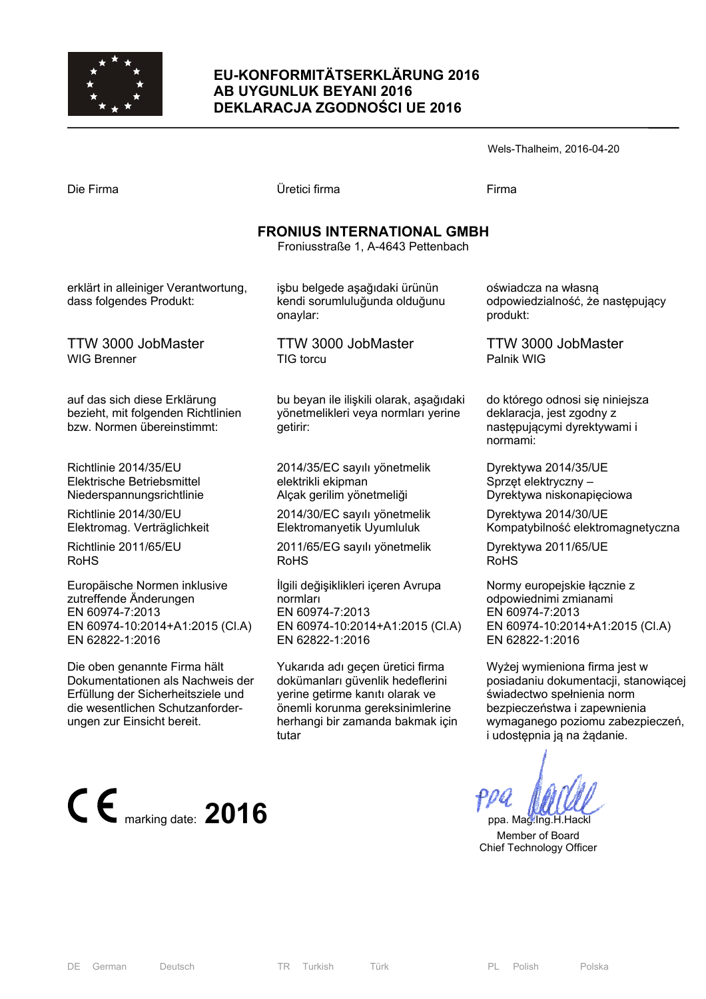

### **EU-KONFORMITÄTSERKLÄRUNG 2016 AB UYGUNLUK BEYANI 2016 DEKLARACJA ZGODNOŚCI UE 2016**

|                                                                         |                                                                            | Wels-Thalheim, 2016-04-20                                           |  |  |  |
|-------------------------------------------------------------------------|----------------------------------------------------------------------------|---------------------------------------------------------------------|--|--|--|
| Die Firma                                                               | Üretici firma                                                              | Firma                                                               |  |  |  |
| <b>FRONIUS INTERNATIONAL GMBH</b><br>Froniusstraße 1, A-4643 Pettenbach |                                                                            |                                                                     |  |  |  |
| erklärt in alleiniger Verantwortung,<br>dass folgendes Produkt:         | işbu belgede aşağıdaki ürünün<br>kendi sorumluluğunda olduğunu<br>onaylar: | oświadcza na własną<br>odpowiedzialność, że następujący<br>produkt: |  |  |  |
| TTW 3000 JobMaster<br>WIG Brenner                                       | TTW 3000 JobMaster<br>TIG torcu                                            | TTW 3000 JobMaster<br>Palnik WIG                                    |  |  |  |

bu beyan ile ilişkili olarak, aşağıdaki yönetmelikleri veya normları yerine getirir:

2014/35/EC sayılı yönetmelik elektrikli ekipman Alçak gerilim yönetmeliği

2014/30/EC sayılı yönetmelik Elektromanyetik Uyumluluk

2011/65/EG sayılı yönetmelik RoHS

İlgili değişiklikleri içeren Avrupa normları EN 60974-7:2013 EN 60974-10:2014+A1:2015 (Cl.A) EN 62822-1:2016

Yukarıda adı geçen üretici firma dokümanları güvenlik hedeflerini yerine getirme kanıtı olarak ve önemli korunma gereksinimlerine herhangi bir zamanda bakmak için tutar

Palnik WIG

do którego odnosi się niniejsza deklaracja, jest zgodny z następującymi dyrektywami i normami:

Dyrektywa 2014/35/UE Sprzęt elektryczny – Dyrektywa niskonapięciowa

Dyrektywa 2014/30/UE Kompatybilność elektromagnetyczna

Dyrektywa 2011/65/UE RoHS

Normy europejskie łącznie z odpowiednimi zmianami EN 60974-7:2013 EN 60974-10:2014+A1:2015 (Cl.A) EN 62822-1:2016

Wyżej wymieniona firma jest w posiadaniu dokumentacji, stanowiącej świadectwo spełnienia norm bezpieczeństwa i zapewnienia wymaganego poziomu zabezpieczeń, i udostępnia ją na żądanie.

 Member of Board Chief Technology Officer

TTW 3000 JobMaster WIG Brenner

auf das sich diese Erklärung bezieht, mit folgenden Richtlinien bzw. Normen übereinstimmt:

Richtlinie 2014/35/EU Elektrische Betriebsmittel Niederspannungsrichtlinie

Richtlinie 2014/30/EU Elektromag. Verträglichkeit

Richtlinie 2011/65/EU RoHS

Europäische Normen inklusive zutreffende Änderungen EN 60974-7:2013 EN 60974-10:2014+A1:2015 (Cl.A) EN 62822-1:2016

Die oben genannte Firma hält Dokumentationen als Nachweis der Erfüllung der Sicherheitsziele und die wesentlichen Schutzanforderungen zur Einsicht bereit.